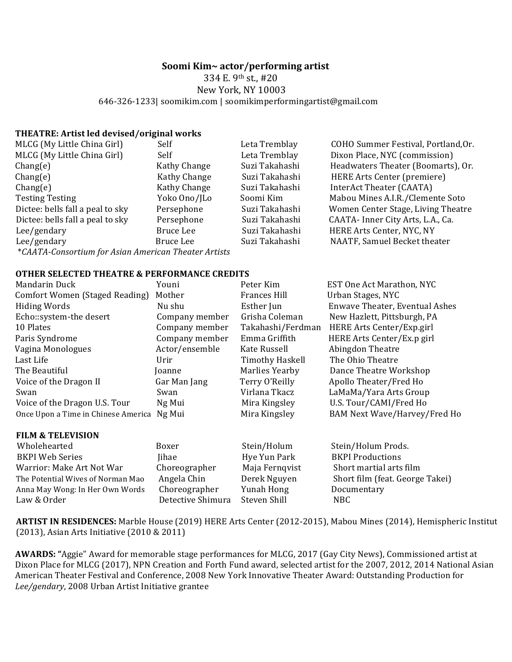## Soomi Kim~ actor/performing artist

334 E. 9<sup>th</sup> st., #20 New York, NY 10003 646-326-1233| soomikim.com | soomikimperformingartist@gmail.com

## **THEATRE: Artist led devised/original works**

| MLCG (My Little China Girl)                          | Self         | Leta Tremblay  | COHO Summer Festival, Portland, Or. |  |  |  |
|------------------------------------------------------|--------------|----------------|-------------------------------------|--|--|--|
| MLCG (My Little China Girl)                          | Self         | Leta Tremblay  | Dixon Place, NYC (commission)       |  |  |  |
| Change(e)                                            | Kathy Change | Suzi Takahashi | Headwaters Theater (Boomarts), Or.  |  |  |  |
| Change(e)                                            | Kathy Change | Suzi Takahashi | HERE Arts Center (premiere)         |  |  |  |
| Change(e)                                            | Kathy Change | Suzi Takahashi | InterAct Theater (CAATA)            |  |  |  |
| <b>Testing Testing</b>                               | Yoko Ono/JLo | Soomi Kim      | Mabou Mines A.I.R./Clemente Soto    |  |  |  |
| Dictee: bells fall a peal to sky                     | Persephone   | Suzi Takahashi | Women Center Stage, Living Theatre  |  |  |  |
| Dictee: bells fall a peal to sky                     | Persephone   | Suzi Takahashi | CAATA- Inner City Arts, L.A., Ca.   |  |  |  |
| Lee/gendary                                          | Bruce Lee    | Suzi Takahashi | HERE Arts Center, NYC, NY           |  |  |  |
| Lee/gendary                                          | Bruce Lee    | Suzi Takahashi | NAATF, Samuel Becket theater        |  |  |  |
| *CAATA-Consortium for Asian American Theater Artists |              |                |                                     |  |  |  |

## **OTHER SELECTED THEATRE & PERFORMANCE CREDITS**

| Mandarin Duck                       | Youni          | Peter Kim         | EST One Act Marathon, NYC      |
|-------------------------------------|----------------|-------------------|--------------------------------|
| Comfort Women (Staged Reading)      | Mother         | Frances Hill      | Urban Stages, NYC              |
| <b>Hiding Words</b>                 | Nu shu         | Esther Jun        | Enwave Theater, Eventual Ashes |
| Echo::system-the desert             | Company member | Grisha Coleman    | New Hazlett, Pittsburgh, PA    |
| 10 Plates                           | Company member | Takahashi/Ferdman | HERE Arts Center/Exp.girl      |
| Paris Syndrome                      | Company member | Emma Griffith     | HERE Arts Center/Ex.p girl     |
| Vagina Monologues                   | Actor/ensemble | Kate Russell      | Abingdon Theatre               |
| Last Life                           | Urir           | Timothy Haskell   | The Ohio Theatre               |
| The Beautiful                       | Joanne         | Marlies Yearby    | Dance Theatre Workshop         |
| Voice of the Dragon II              | Gar Man Jang   | Terry O'Reilly    | Apollo Theater/Fred Ho         |
| Swan                                | Swan           | Virlana Tkacz     | LaMaMa/Yara Arts Group         |
| Voice of the Dragon U.S. Tour       | Ng Mui         | Mira Kingsley     | U.S. Tour/CAMI/Fred Ho         |
| Once Upon a Time in Chinese America | Ng Mui         | Mira Kingsley     | BAM Next Wave/Harvey/Fred Ho   |

| Wholehearted                      | Boxer             | Stein/Holum    | Stein/Holum Prods.              |
|-----------------------------------|-------------------|----------------|---------------------------------|
| <b>BKPI Web Series</b>            | <b>Jihae</b>      | Hye Yun Park   | <b>BKPI Productions</b>         |
| Warrior: Make Art Not War         | Choreographer     | Maja Fernqvist | Short martial arts film         |
| The Potential Wives of Norman Mao | Angela Chin       | Derek Nguyen   | Short film (feat. George Takei) |
| Anna May Wong: In Her Own Words   | Choreographer     | Yunah Hong     | Documentary                     |
| Law & Order                       | Detective Shimura | Steven Shill   | NBC.                            |

ARTIST IN RESIDENCES: Marble House (2019) HERE Arts Center (2012-2015), Mabou Mines (2014), Hemispheric Institut **(2013), Asian Arts Initiative (2010 & 2011)** 

AWARDS: "Aggie" Award for memorable stage performances for MLCG, 2017 (Gay City News), Commissioned artist at Dixon Place for MLCG (2017), NPN Creation and Forth Fund award, selected artist for the 2007, 2012, 2014 National Asian American Theater Festival and Conference, 2008 New York Innovative Theater Award: Outstanding Production for Lee/gendary, 2008 Urban Artist Initiative grantee